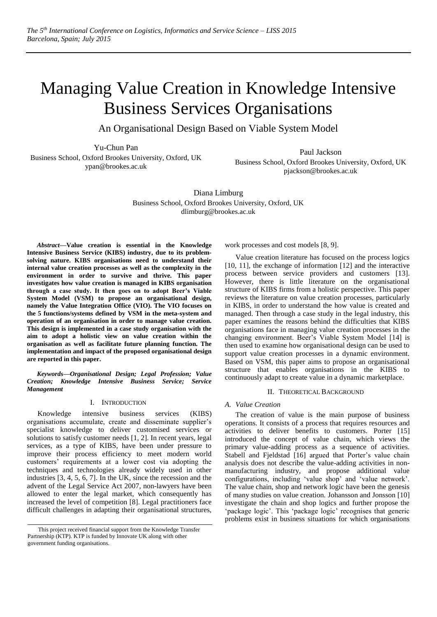# Managing Value Creation in Knowledge Intensive Business Services Organisations

An Organisational Design Based on Viable System Model

Yu-Chun Pan

Business School, Oxford Brookes University, Oxford, UK ypan@brookes.ac.uk

Paul Jackson Business School, Oxford Brookes University, Oxford, UK pjackson@brookes.ac.uk

Diana Limburg Business School, Oxford Brookes University, Oxford, UK dlimburg@brookes.ac.uk

*Abstract***—Value creation is essential in the Knowledge Intensive Business Service (KIBS) industry, due to its problemsolving nature. KIBS organisations need to understand their internal value creation processes as well as the complexity in the environment in order to survive and thrive. This paper investigates how value creation is managed in KIBS organisation through a case study. It then goes on to adopt Beer's Viable System Model (VSM) to propose an organisational design, namely the Value Integration Office (VIO). The VIO focuses on the 5 functions/systems defined by VSM in the meta-system and operation of an organisation in order to manage value creation. This design is implemented in a case study organisation with the aim to adopt a holistic view on value creation within the organisation as well as facilitate future planning function. The implementation and impact of the proposed organisational design are reported in this paper.**

*Keywords—Organisational Design; Legal Profession; Value Creation; Knowledge Intensive Business Service; Service Management*

### I. INTRODUCTION

Knowledge intensive business services (KIBS) organisations accumulate, create and disseminate supplier's specialist knowledge to deliver customised services or solutions to satisfy customer needs [1, 2]. In recent years, legal services, as a type of KIBS, have been under pressure to improve their process efficiency to meet modern world customers' requirements at a lower cost via adopting the techniques and technologies already widely used in other industries [3, 4, 5, 6, 7]. In the UK, since the recession and the advent of the Legal Service Act 2007, non-lawyers have been allowed to enter the legal market, which consequently has increased the level of competition [8]. Legal practitioners face difficult challenges in adapting their organisational structures,

work processes and cost models [8, 9].

Value creation literature has focused on the process logics [10, 11], the exchange of information [12] and the interactive process between service providers and customers [13]. However, there is little literature on the organisational structure of KIBS firms from a holistic perspective. This paper reviews the literature on value creation processes, particularly in KIBS, in order to understand the how value is created and managed. Then through a case study in the legal industry, this paper examines the reasons behind the difficulties that KIBS organisations face in managing value creation processes in the changing environment. Beer's Viable System Model [14] is then used to examine how organisational design can be used to support value creation processes in a dynamic environment. Based on VSM, this paper aims to propose an organisational structure that enables organisations in the KIBS to continuously adapt to create value in a dynamic marketplace.

### II. THEORETICAL BACKGROUND

### *A. Value Creation*

The creation of value is the main purpose of business operations. It consists of a process that requires resources and activities to deliver benefits to customers. Porter [15] introduced the concept of value chain, which views the primary value-adding process as a sequence of activities. Stabell and Fjeldstad [16] argued that Porter's value chain analysis does not describe the value-adding activities in nonmanufacturing industry, and propose additional value configurations, including 'value shop' and 'value network'. The value chain, shop and network logic have been the genesis of many studies on value creation. Johansson and Jonsson [10] investigate the chain and shop logics and further propose the 'package logic'. This 'package logic' recognises that generic problems exist in business situations for which organisations

This project received financial support from the Knowledge Transfer Partnership (KTP). KTP is funded by Innovate UK along with other government funding organisations.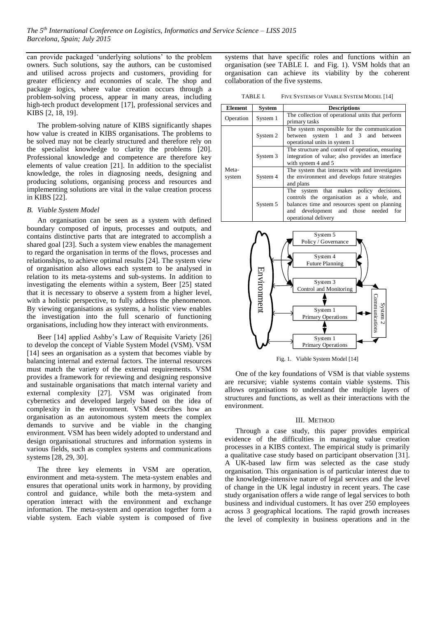can provide packaged 'underlying solutions' to the problem owners. Such solutions, say the authors, can be customised and utilised across projects and customers, providing for greater efficiency and economies of scale. The shop and package logics, where value creation occurs through a problem-solving process, appear in many areas, including high-tech product development [17], professional services and KIBS [2, 18, 19].

The problem-solving nature of KIBS significantly shapes how value is created in KIBS organisations. The problems to be solved may not be clearly structured and therefore rely on the specialist knowledge to clarity the problems [20]. Professional knowledge and competence are therefore key elements of value creation [21]. In addition to the specialist knowledge, the roles in diagnosing needs, designing and producing solutions, organising process and resources and implementing solutions are vital in the value creation process in KIBS [22].

# *B. Viable System Model*

An organisation can be seen as a system with defined boundary composed of inputs, processes and outputs, and contains distinctive parts that are integrated to accomplish a shared goal [23]. Such a system view enables the management to regard the organisation in terms of the flows, processes and relationships, to achieve optimal results [24]. The system view of organisation also allows each system to be analysed in relation to its meta-systems and sub-systems. In addition to investigating the elements within a system, Beer [25] stated that it is necessary to observe a system from a higher level, with a holistic perspective, to fully address the phenomenon. By viewing organisations as systems, a holistic view enables the investigation into the full scenario of functioning organisations, including how they interact with environments.

Beer [14] applied Ashby's Law of Requisite Variety [26] to develop the concept of Viable System Model (VSM). VSM [14] sees an organisation as a system that becomes viable by balancing internal and external factors. The internal resources must match the variety of the external requirements. VSM provides a framework for reviewing and designing responsive and sustainable organisations that match internal variety and external complexity [27]. VSM was originated from cybernetics and developed largely based on the idea of complexity in the environment. VSM describes how an organisation as an autonomous system meets the complex demands to survive and be viable in the changing environment. VSM has been widely adopted to understand and design organisational structures and information systems in various fields, such as complex systems and communications systems [28, 29, 30].

The three key elements in VSM are operation, environment and meta-system. The meta-system enables and ensures that operational units work in harmony, by providing control and guidance, while both the meta-system and operation interact with the environment and exchange information. The meta-system and operation together form a viable system. Each viable system is composed of five

systems that have specific roles and functions within an organisation (see [TABLE I.](#page-1-0) and [Fig. 1\)](#page-1-1). VSM holds that an organisation can achieve its viability by the coherent collaboration of the five systems.

TABLE I. FIVE SYSTEMS OF VIABLE SYSTEM MODEL [14]

<span id="page-1-0"></span>

| Element         | <b>System</b> | <b>Descriptions</b>                                                                                                                                                                                         |
|-----------------|---------------|-------------------------------------------------------------------------------------------------------------------------------------------------------------------------------------------------------------|
| Operation       | System 1      | The collection of operational units that perform<br>primary tasks                                                                                                                                           |
| Meta-<br>system | System 2      | The system responsible for the communication<br>between system 1 and 3 and between<br>operational units in system 1                                                                                         |
|                 | System 3      | The structure and control of operation, ensuring<br>integration of value; also provides an interface<br>with system 4 and 5                                                                                 |
|                 | System 4      | The system that interacts with and investigates<br>the environment and develops future strategies<br>and plans                                                                                              |
|                 | System 5      | The system that makes policy decisions,<br>controls the organisation as a whole, and<br>balances time and resources spent on planning<br>development and those needed<br>and<br>for<br>operational delivery |



Fig. 1. Viable System Model [14]

<span id="page-1-1"></span>One of the key foundations of VSM is that viable systems are recursive; viable systems contain viable systems. This allows organisations to understand the multiple layers of structures and functions, as well as their interactions with the environment.

## III. METHOD

Through a case study, this paper provides empirical evidence of the difficulties in managing value creation processes in a KIBS context. The empirical study is primarily a qualitative case study based on participant observation [31]. A UK-based law firm was selected as the case study organisation. This organisation is of particular interest due to the knowledge-intensive nature of legal services and the level of change in the UK legal industry in recent years. The case study organisation offers a wide range of legal services to both business and individual customers. It has over 250 employees across 3 geographical locations. The rapid growth increases the level of complexity in business operations and in the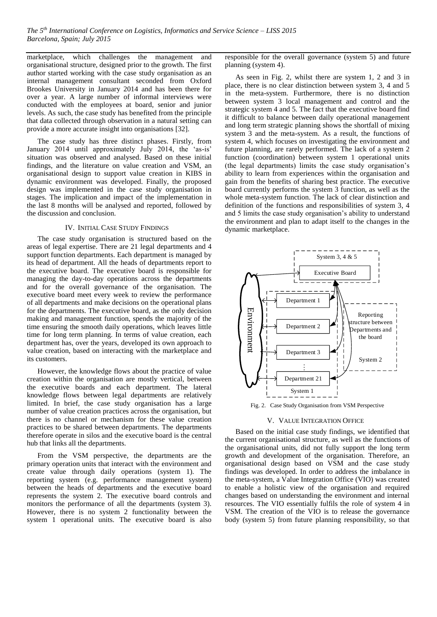marketplace, which challenges the management and organisational structure, designed prior to the growth. The first author started working with the case study organisation as an internal management consultant seconded from Oxford Brookes University in January 2014 and has been there for over a year. A large number of informal interviews were conducted with the employees at board, senior and junior levels. As such, the case study has benefited from the principle that data collected through observation in a natural setting can provide a more accurate insight into organisations [32].

The case study has three distinct phases. Firstly, from January 2014 until approximately July 2014, the 'as-is' situation was observed and analysed. Based on these initial findings, and the literature on value creation and VSM, an organisational design to support value creation in KIBS in dynamic environment was developed. Finally, the proposed design was implemented in the case study organisation in stages. The implication and impact of the implementation in the last 8 months will be analysed and reported, followed by the discussion and conclusion.

## IV. INITIAL CASE STUDY FINDINGS

The case study organisation is structured based on the areas of legal expertise. There are 21 legal departments and 4 support function departments. Each department is managed by its head of department. All the heads of departments report to the executive board. The executive board is responsible for managing the day-to-day operations across the departments and for the overall governance of the organisation. The executive board meet every week to review the performance of all departments and make decisions on the operational plans for the departments. The executive board, as the only decision making and management function, spends the majority of the time ensuring the smooth daily operations, which leaves little time for long term planning. In terms of value creation, each department has, over the years, developed its own approach to value creation, based on interacting with the marketplace and its customers.

However, the knowledge flows about the practice of value creation within the organisation are mostly vertical, between the executive boards and each department. The lateral knowledge flows between legal departments are relatively limited. In brief, the case study organisation has a large number of value creation practices across the organisation, but there is no channel or mechanism for these value creation practices to be shared between departments. The departments therefore operate in silos and the executive board is the central hub that links all the departments.

From the VSM perspective, the departments are the primary operation units that interact with the environment and create value through daily operations (system 1). The reporting system (e.g. performance management system) between the heads of departments and the executive board represents the system 2. The executive board controls and monitors the performance of all the departments (system 3). However, there is no system 2 functionality between the system 1 operational units. The executive board is also

responsible for the overall governance (system 5) and future planning (system 4).

As seen in [Fig. 2,](#page-2-0) whilst there are system 1, 2 and 3 in place, there is no clear distinction between system 3, 4 and 5 in the meta-system. Furthermore, there is no distinction between system 3 local management and control and the strategic system 4 and 5. The fact that the executive board find it difficult to balance between daily operational management and long term strategic planning shows the shortfall of mixing system 3 and the meta-system. As a result, the functions of system 4, which focuses on investigating the environment and future planning, are rarely performed. The lack of a system 2 function (coordination) between system 1 operational units (the legal departments) limits the case study organisation's ability to learn from experiences within the organisation and gain from the benefits of sharing best practice. The executive board currently performs the system 3 function, as well as the whole meta-system function. The lack of clear distinction and definition of the functions and responsibilities of system 3, 4 and 5 limits the case study organisation's ability to understand the environment and plan to adapt itself to the changes in the dynamic marketplace.



Fig. 2. Case Study Organisation from VSM Perspective

#### V. VALUE INTEGRATION OFFICE

<span id="page-2-0"></span>Based on the initial case study findings, we identified that the current organisational structure, as well as the functions of the organisational units, did not fully support the long term growth and development of the organisation. Therefore, an organisational design based on VSM and the case study findings was developed. In order to address the imbalance in the meta-system, a Value Integration Office (VIO) was created to enable a holistic view of the organisation and required changes based on understanding the environment and internal resources. The VIO essentially fulfils the role of system 4 in VSM. The creation of the VIO is to release the governance body (system 5) from future planning responsibility, so that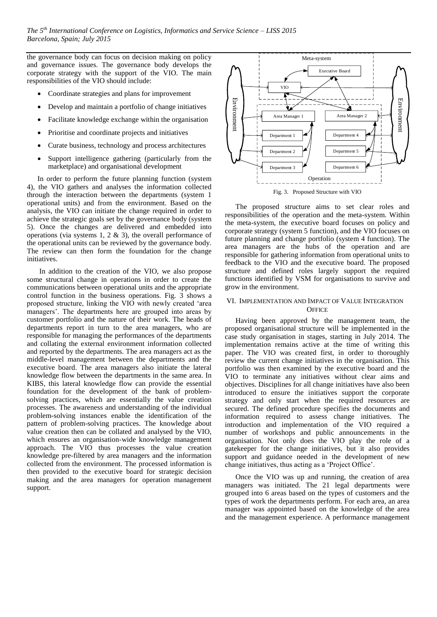the governance body can focus on decision making on policy and governance issues. The governance body develops the corporate strategy with the support of the VIO. The main responsibilities of the VIO should include:

- Coordinate strategies and plans for improvement
- Develop and maintain a portfolio of change initiatives
- Facilitate knowledge exchange within the organisation
- Prioritise and coordinate projects and initiatives
- Curate business, technology and process architectures
- Support intelligence gathering (particularly from the marketplace) and organisational development

In order to perform the future planning function (system 4), the VIO gathers and analyses the information collected through the interaction between the departments (system 1 operational units) and from the environment. Based on the analysis, the VIO can initiate the change required in order to achieve the strategic goals set by the governance body (system 5). Once the changes are delivered and embedded into operations (via systems 1, 2 & 3), the overall performance of the operational units can be reviewed by the governance body. The review can then form the foundation for the change initiatives.

In addition to the creation of the VIO, we also propose some structural change in operations in order to create the communications between operational units and the appropriate control function in the business operations. [Fig. 3](#page-3-0) shows a proposed structure, linking the VIO with newly created 'area managers'. The departments here are grouped into areas by customer portfolio and the nature of their work. The heads of departments report in turn to the area managers, who are responsible for managing the performances of the departments and collating the external environment information collected and reported by the departments. The area managers act as the middle-level management between the departments and the executive board. The area managers also initiate the lateral knowledge flow between the departments in the same area. In KIBS, this lateral knowledge flow can provide the essential foundation for the development of the bank of problemsolving practices, which are essentially the value creation processes. The awareness and understanding of the individual problem-solving instances enable the identification of the pattern of problem-solving practices. The knowledge about value creation then can be collated and analysed by the VIO, which ensures an organisation-wide knowledge management approach. The VIO thus processes the value creation knowledge pre-filtered by area managers and the information collected from the environment. The processed information is then provided to the executive board for strategic decision making and the area managers for operation management support.



<span id="page-3-0"></span>The proposed structure aims to set clear roles and responsibilities of the operation and the meta-system. Within the meta-system, the executive board focuses on policy and corporate strategy (system 5 function), and the VIO focuses on future planning and change portfolio (system 4 function). The area managers are the hubs of the operation and are responsible for gathering information from operational units to feedback to the VIO and the executive board. The proposed structure and defined roles largely support the required functions identified by VSM for organisations to survive and grow in the environment.

# VI. IMPLEMENTATION AND IMPACT OF VALUE INTEGRATION **OFFICE**

Having been approved by the management team, the proposed organisational structure will be implemented in the case study organisation in stages, starting in July 2014. The implementation remains active at the time of writing this paper. The VIO was created first, in order to thoroughly review the current change initiatives in the organisation. This portfolio was then examined by the executive board and the VIO to terminate any initiatives without clear aims and objectives. Disciplines for all change initiatives have also been introduced to ensure the initiatives support the corporate strategy and only start when the required resources are secured. The defined procedure specifies the documents and information required to assess change initiatives. The introduction and implementation of the VIO required a number of workshops and public announcements in the organisation. Not only does the VIO play the role of a gatekeeper for the change initiatives, but it also provides support and guidance needed in the development of new change initiatives, thus acting as a 'Project Office'.

Once the VIO was up and running, the creation of area managers was initiated. The 21 legal departments were grouped into 6 areas based on the types of customers and the types of work the departments perform. For each area, an area manager was appointed based on the knowledge of the area and the management experience. A performance management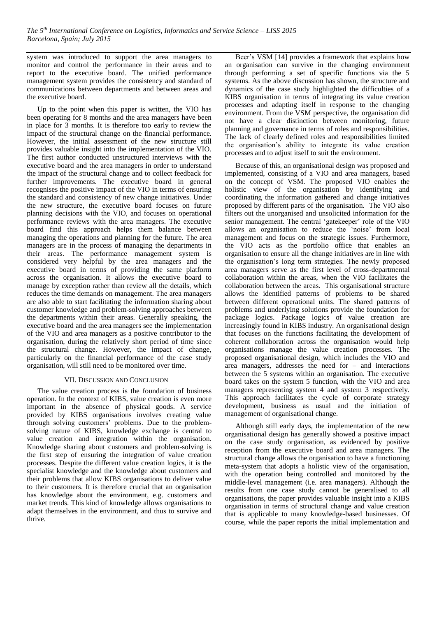system was introduced to support the area managers to monitor and control the performance in their areas and to report to the executive board. The unified performance management system provides the consistency and standard of communications between departments and between areas and the executive board.

Up to the point when this paper is written, the VIO has been operating for 8 months and the area managers have been in place for 3 months. It is therefore too early to review the impact of the structural change on the financial performance. However, the initial assessment of the new structure still provides valuable insight into the implementation of the VIO. The first author conducted unstructured interviews with the executive board and the area managers in order to understand the impact of the structural change and to collect feedback for further improvements. The executive board in general recognises the positive impact of the VIO in terms of ensuring the standard and consistency of new change initiatives. Under the new structure, the executive board focuses on future planning decisions with the VIO, and focuses on operational performance reviews with the area managers. The executive board find this approach helps them balance between managing the operations and planning for the future. The area managers are in the process of managing the departments in their areas. The performance management system is considered very helpful by the area managers and the executive board in terms of providing the same platform across the organisation. It allows the executive board to manage by exception rather than review all the details, which reduces the time demands on management. The area managers are also able to start facilitating the information sharing about customer knowledge and problem-solving approaches between the departments within their areas. Generally speaking, the executive board and the area managers see the implementation of the VIO and area managers as a positive contributor to the organisation, during the relatively short period of time since the structural change. However, the impact of change, particularly on the financial performance of the case study organisation, will still need to be monitored over time.

### VII. DISCUSSION AND CONCLUSION

The value creation process is the foundation of business operation. In the context of KIBS, value creation is even more important in the absence of physical goods. A service provided by KIBS organisations involves creating value through solving customers' problems. Due to the problemsolving nature of KIBS, knowledge exchange is central to value creation and integration within the organisation. Knowledge sharing about customers and problem-solving is the first step of ensuring the integration of value creation processes. Despite the different value creation logics, it is the specialist knowledge and the knowledge about customers and their problems that allow KIBS organisations to deliver value to their customers. It is therefore crucial that an organisation has knowledge about the environment, e.g. customers and market trends. This kind of knowledge allows organisations to adapt themselves in the environment, and thus to survive and thrive.

Beer's VSM [14] provides a framework that explains how an organisation can survive in the changing environment through performing a set of specific functions via the 5 systems. As the above discussion has shown, the structure and dynamics of the case study highlighted the difficulties of a KIBS organisation in terms of integrating its value creation processes and adapting itself in response to the changing environment. From the VSM perspective, the organisation did not have a clear distinction between monitoring, future planning and governance in terms of roles and responsibilities. The lack of clearly defined roles and responsibilities limited the organisation's ability to integrate its value creation processes and to adjust itself to suit the environment.

Because of this, an organisational design was proposed and implemented, consisting of a VIO and area managers, based on the concept of VSM. The proposed VIO enables the holistic view of the organisation by identifying and coordinating the information gathered and change initiatives proposed by different parts of the organisation. The VIO also filters out the unorganised and unsolicited information for the senior management. The central 'gatekeeper' role of the VIO allows an organisation to reduce the 'noise' from local management and focus on the strategic issues. Furthermore, the VIO acts as the portfolio office that enables an organisation to ensure all the change initiatives are in line with the organisation's long term strategies. The newly proposed area managers serve as the first level of cross-departmental collaboration within the areas, when the VIO facilitates the collaboration between the areas. This organisational structure allows the identified patterns of problems to be shared between different operational units. The shared patterns of problems and underlying solutions provide the foundation for package logics. Package logics of value creation are increasingly found in KIBS industry. An organisational design that focuses on the functions facilitating the development of coherent collaboration across the organisation would help organisations manage the value creation processes. The proposed organisational design, which includes the VIO and area managers, addresses the need for – and interactions between the 5 systems within an organisation. The executive board takes on the system 5 function, with the VIO and area managers representing system 4 and system 3 respectively. This approach facilitates the cycle of corporate strategy development, business as usual and the initiation of management of organisational change.

Although still early days, the implementation of the new organisational design has generally showed a positive impact on the case study organisation, as evidenced by positive reception from the executive board and area managers. The structural change allows the organisation to have a functioning meta-system that adopts a holistic view of the organisation, with the operation being controlled and monitored by the middle-level management (i.e. area managers). Although the results from one case study cannot be generalised to all organisations, the paper provides valuable insight into a KIBS organisation in terms of structural change and value creation that is applicable to many knowledge-based businesses. Of course, while the paper reports the initial implementation and